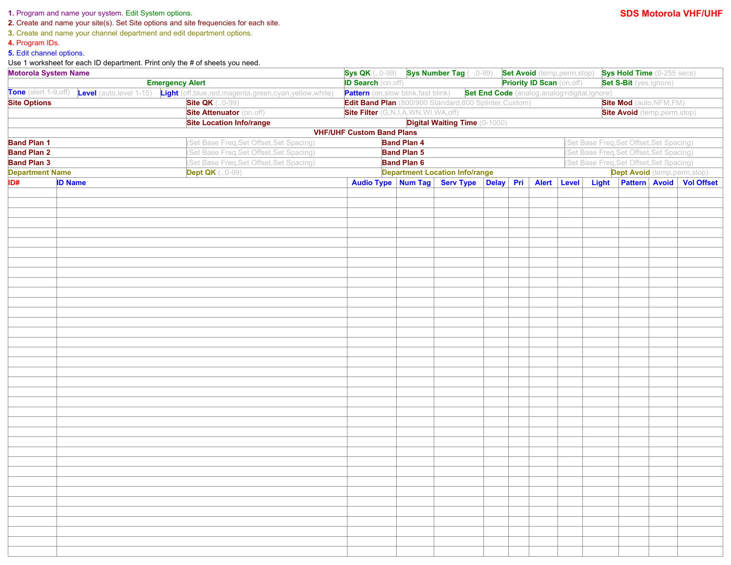## **1.** Program and name your system. Edit System options. **SDS Motorola VHF/UHF**

## Use 1 worksheet for each ID departme **Motorola System Name**

|                        |                                                                              | 2. Create and name your site(s). Set Site options and site frequencies for each site.       |                                                                |                    |                                       |  |              |                                               |       |                                          |                                 |
|------------------------|------------------------------------------------------------------------------|---------------------------------------------------------------------------------------------|----------------------------------------------------------------|--------------------|---------------------------------------|--|--------------|-----------------------------------------------|-------|------------------------------------------|---------------------------------|
|                        | 3. Create and name your channel department and edit department options.      |                                                                                             |                                                                |                    |                                       |  |              |                                               |       |                                          |                                 |
| 4. Program IDs.        |                                                                              |                                                                                             |                                                                |                    |                                       |  |              |                                               |       |                                          |                                 |
|                        | 5. Edit channel options.                                                     |                                                                                             |                                                                |                    |                                       |  |              |                                               |       |                                          |                                 |
|                        | Use 1 worksheet for each ID department. Print only the # of sheets you need. |                                                                                             |                                                                |                    |                                       |  |              |                                               |       |                                          |                                 |
|                        | <b>Motorola System Name</b>                                                  |                                                                                             | <b>Sys QK</b> (.,0-99)                                         |                    | Sys Number Tag ( , 0-99)              |  |              | Set Avoid (temp, perm, stop)                  |       | <b>Sys Hold Time</b> (0-255 secs)        |                                 |
|                        |                                                                              | <b>Emergency Alert</b>                                                                      | <b>ID Search</b> (on, off)                                     |                    |                                       |  |              | <b>Priority ID Scan (on, off)</b>             |       | <b>Set S-Bit</b> (yes, ignore)           |                                 |
| Tone (alert 1-9, off)  |                                                                              | <b>Level</b> (auto, level 1-15) Light (off, blue, red, magenta, green, cyan, yellow, white) | <b>Pattern</b> (on, slow blink, fast blink)                    |                    |                                       |  |              | Set End Code (analog, analog+digital, ignore) |       |                                          |                                 |
| <b>Site Options</b>    |                                                                              | <b>Site QK</b> (., 0-99)                                                                    | <b>Edit Band Plan</b> (800/900 Standard, 800 Splinter, Custom) |                    |                                       |  |              |                                               |       | <b>Site Mod</b> (auto, NFM, FM)          |                                 |
|                        |                                                                              | <b>Site Attenuator (on, off)</b>                                                            | Site Filter (G,N,I,A,WN,WI,WA,off)                             |                    |                                       |  |              |                                               |       | <b>Site Avoid</b> (temp, perm, stop)     |                                 |
|                        |                                                                              | <b>Site Location Info/range</b>                                                             |                                                                |                    | <b>Digital Waiting Time (0-1000)</b>  |  |              |                                               |       |                                          |                                 |
|                        |                                                                              |                                                                                             | <b>VHF/UHF Custom Band Plans</b>                               |                    |                                       |  |              |                                               |       |                                          |                                 |
| <b>Band Plan 1</b>     |                                                                              | Set Base Freq, Set Offset, Set Spacing)                                                     |                                                                | <b>Band Plan 4</b> |                                       |  |              |                                               |       | (Set Base Freq, Set Offset, Set Spacing) |                                 |
| <b>Band Plan 2</b>     |                                                                              | Set Base Freg. Set Offset. Set Spacing)                                                     |                                                                | <b>Band Plan 5</b> |                                       |  |              |                                               |       | (Set Base Freg, Set Offset, Set Spacing) |                                 |
| <b>Band Plan 3</b>     |                                                                              | (Set Base Freq, Set Offset, Set Spacing)                                                    |                                                                | <b>Band Plan 6</b> |                                       |  |              |                                               |       | (Set Base Freq, Set Offset, Set Spacing) |                                 |
| <b>Department Name</b> |                                                                              | <b>Dept QK</b> $(.0-99)$                                                                    |                                                                |                    | <b>Department Location Info/range</b> |  |              |                                               |       | <b>Dept Avoid</b> (temp, perm, stop)     |                                 |
| ID#                    | <b>ID Name</b>                                                               |                                                                                             | Audio Type   Num Tag   Serv Type   Delay   Pri                 |                    |                                       |  | <b>Alert</b> | Level                                         | Light |                                          | <b>Pattern Avoid Vol Offset</b> |
|                        |                                                                              |                                                                                             |                                                                |                    |                                       |  |              |                                               |       |                                          |                                 |
|                        |                                                                              |                                                                                             |                                                                |                    |                                       |  |              |                                               |       |                                          |                                 |
|                        |                                                                              |                                                                                             |                                                                |                    |                                       |  |              |                                               |       |                                          |                                 |
|                        |                                                                              |                                                                                             |                                                                |                    |                                       |  |              |                                               |       |                                          |                                 |
|                        |                                                                              |                                                                                             |                                                                |                    |                                       |  |              |                                               |       |                                          |                                 |
|                        |                                                                              |                                                                                             |                                                                |                    |                                       |  |              |                                               |       |                                          |                                 |
|                        |                                                                              |                                                                                             |                                                                |                    |                                       |  |              |                                               |       |                                          |                                 |
|                        |                                                                              |                                                                                             |                                                                |                    |                                       |  |              |                                               |       |                                          |                                 |
|                        |                                                                              |                                                                                             |                                                                |                    |                                       |  |              |                                               |       |                                          |                                 |
|                        |                                                                              |                                                                                             |                                                                |                    |                                       |  |              |                                               |       |                                          |                                 |
|                        |                                                                              |                                                                                             |                                                                |                    |                                       |  |              |                                               |       |                                          |                                 |
|                        |                                                                              |                                                                                             |                                                                |                    |                                       |  |              |                                               |       |                                          |                                 |